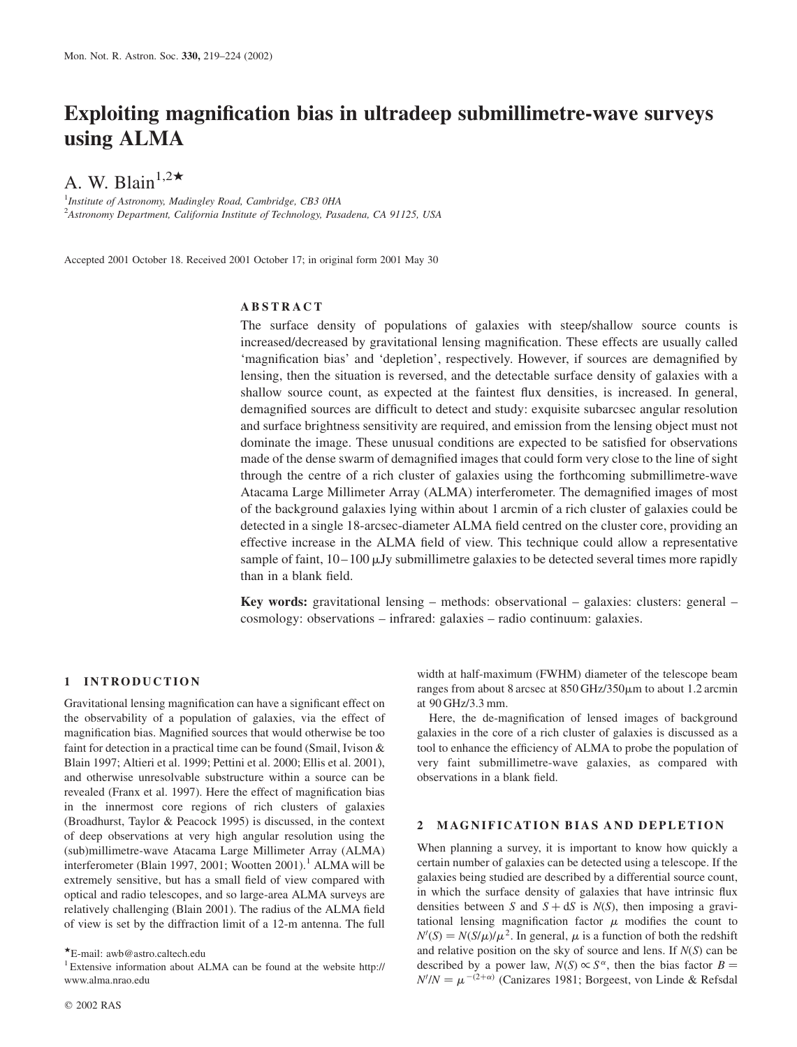# Exploiting magnification bias in ultradeep submillimetre-wave surveys using ALMA

A. W. Blain<sup>1,2 $\star$ </sup>

<sup>1</sup>Institute of Astronomy, Madingley Road, Cambridge, CB3 0HA <sup>2</sup> Astronomy Department, California Institute of Technology, Pasadena, CA 91125, USA

Accepted 2001 October 18. Received 2001 October 17; in original form 2001 May 30

## ABSTRACT

The surface density of populations of galaxies with steep/shallow source counts is increased/decreased by gravitational lensing magnification. These effects are usually called 'magnification bias' and 'depletion', respectively. However, if sources are demagnified by lensing, then the situation is reversed, and the detectable surface density of galaxies with a shallow source count, as expected at the faintest flux densities, is increased. In general, demagnified sources are difficult to detect and study: exquisite subarcsec angular resolution and surface brightness sensitivity are required, and emission from the lensing object must not dominate the image. These unusual conditions are expected to be satisfied for observations made of the dense swarm of demagnified images that could form very close to the line of sight through the centre of a rich cluster of galaxies using the forthcoming submillimetre-wave Atacama Large Millimeter Array (ALMA) interferometer. The demagnified images of most of the background galaxies lying within about 1 arcmin of a rich cluster of galaxies could be detected in a single 18-arcsec-diameter ALMA field centred on the cluster core, providing an effective increase in the ALMA field of view. This technique could allow a representative sample of faint,  $10-100 \mu Jy$  submillimetre galaxies to be detected several times more rapidly than in a blank field.

Key words: gravitational lensing – methods: observational – galaxies: clusters: general – cosmology: observations – infrared: galaxies – radio continuum: galaxies.

## 1 INTRODUCTION

Gravitational lensing magnification can have a significant effect on the observability of a population of galaxies, via the effect of magnification bias. Magnified sources that would otherwise be too faint for detection in a practical time can be found (Smail, Ivison & Blain 1997; Altieri et al. 1999; Pettini et al. 2000; Ellis et al. 2001), and otherwise unresolvable substructure within a source can be revealed (Franx et al. 1997). Here the effect of magnification bias in the innermost core regions of rich clusters of galaxies (Broadhurst, Taylor & Peacock 1995) is discussed, in the context of deep observations at very high angular resolution using the (sub)millimetre-wave Atacama Large Millimeter Array (ALMA) interferometer (Blain 1997, 2001; Wootten 2001).<sup>1</sup> ALMA will be extremely sensitive, but has a small field of view compared with optical and radio telescopes, and so large-area ALMA surveys are relatively challenging (Blain 2001). The radius of the ALMA field of view is set by the diffraction limit of a 12-m antenna. The full

© 2002 RAS

width at half-maximum (FWHM) diameter of the telescope beam ranges from about 8 arcsec at  $850$  GHz/350 $\mu$ m to about 1.2 arcmin at 90 GHz/3.3 mm.

Here, the de-magnification of lensed images of background galaxies in the core of a rich cluster of galaxies is discussed as a tool to enhance the efficiency of ALMA to probe the population of very faint submillimetre-wave galaxies, as compared with observations in a blank field.

#### 2 MAGNIFICATION BIAS AND DEPLETION

When planning a survey, it is important to know how quickly a certain number of galaxies can be detected using a telescope. If the galaxies being studied are described by a differential source count, in which the surface density of galaxies that have intrinsic flux densities between S and  $S + dS$  is  $N(S)$ , then imposing a gravitational lensing magnification factor  $\mu$  modifies the count to  $N'(S) = N(S/\mu)/\mu^2$ . In general,  $\mu$  is a function of both the redshift and relative position on the sky of source and lens. If  $N(S)$  can be described by a power law,  $N(S) \propto S^{\alpha}$ , then the bias factor  $B =$  $N/N = \mu^{-(2+\alpha)}$  (Canizares 1981; Borgeest, von Linde & Refsdal

<sup>\*</sup>E-mail: awb@astro.caltech.edu

<sup>1</sup> Extensive information about ALMA can be found at the website http:// www.alma.nrao.edu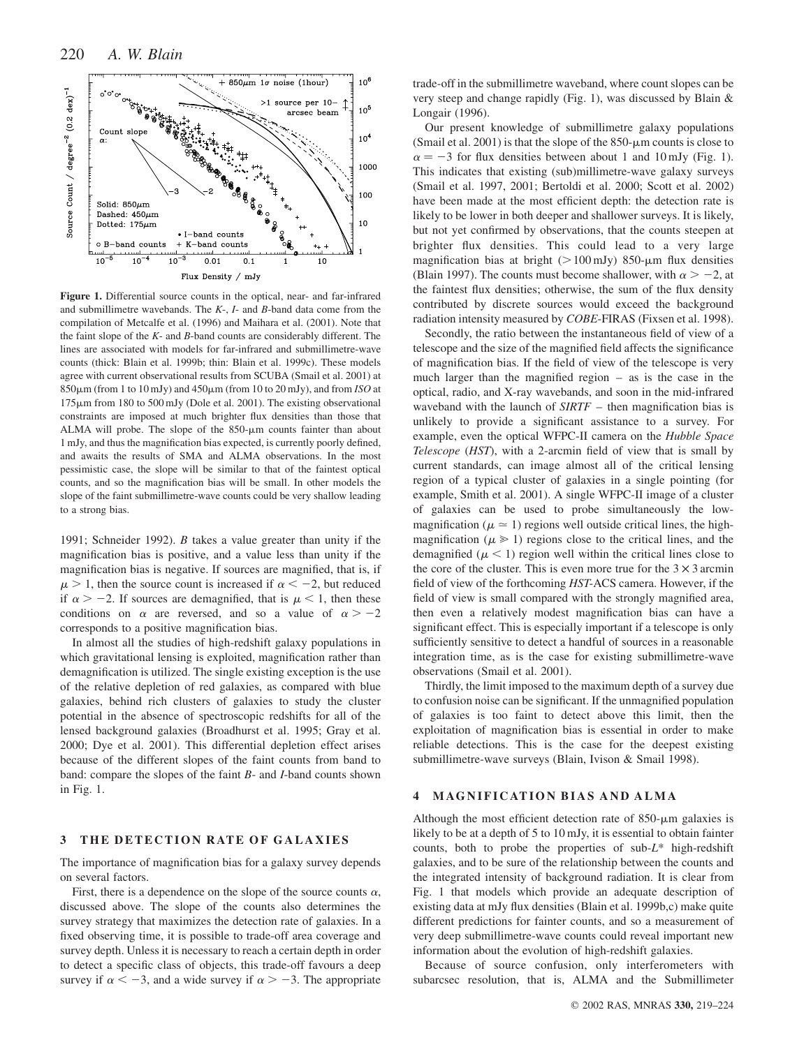

Figure 1. Differential source counts in the optical, near- and far-infrared and submillimetre wavebands. The K-, I- and B-band data come from the compilation of Metcalfe et al. (1996) and Maihara et al. (2001). Note that the faint slope of the  $K$ - and  $B$ -band counts are considerably different. The lines are associated with models for far-infrared and submillimetre-wave counts (thick: Blain et al. 1999b; thin: Blain et al. 1999c). These models agree with current observational results from SCUBA (Smail et al. 2001) at  $850 \mu m$  (from 1 to 10 mJy) and  $450 \mu m$  (from 10 to 20 mJy), and from ISO at  $175 \mu m$  from 180 to 500 mJy (Dole et al. 2001). The existing observational constraints are imposed at much brighter flux densities than those that ALMA will probe. The slope of the  $850-\mu m$  counts fainter than about 1 mJy, and thus the magnification bias expected, is currently poorly defined, and awaits the results of SMA and ALMA observations. In the most pessimistic case, the slope will be similar to that of the faintest optical counts, and so the magnification bias will be small. In other models the slope of the faint submillimetre-wave counts could be very shallow leading to a strong bias.

1991; Schneider 1992). B takes a value greater than unity if the magnification bias is positive, and a value less than unity if the magnification bias is negative. If sources are magnified, that is, if  $\mu > 1$ , then the source count is increased if  $\alpha < -2$ , but reduced if  $\alpha > -2$ . If sources are demagnified, that is  $\mu < 1$ , then these conditions on  $\alpha$  are reversed, and so a value of  $\alpha > -2$ corresponds to a positive magnification bias.

In almost all the studies of high-redshift galaxy populations in which gravitational lensing is exploited, magnification rather than demagnification is utilized. The single existing exception is the use of the relative depletion of red galaxies, as compared with blue galaxies, behind rich clusters of galaxies to study the cluster potential in the absence of spectroscopic redshifts for all of the lensed background galaxies (Broadhurst et al. 1995; Gray et al. 2000; Dye et al. 2001). This differential depletion effect arises because of the different slopes of the faint counts from band to band: compare the slopes of the faint B- and I-band counts shown in Fig. 1.

## 3 THE DETECTION RATE OF GALAXIES

The importance of magnification bias for a galaxy survey depends on several factors.

First, there is a dependence on the slope of the source counts  $\alpha$ , discussed above. The slope of the counts also determines the survey strategy that maximizes the detection rate of galaxies. In a fixed observing time, it is possible to trade-off area coverage and survey depth. Unless it is necessary to reach a certain depth in order to detect a specific class of objects, this trade-off favours a deep survey if  $\alpha < -3$ , and a wide survey if  $\alpha > -3$ . The appropriate

trade-off in the submillimetre waveband, where count slopes can be very steep and change rapidly (Fig. 1), was discussed by Blain & Longair (1996).

Our present knowledge of submillimetre galaxy populations (Smail et al. 2001) is that the slope of the  $850$ - $\mu$ m counts is close to  $\alpha = -3$  for flux densities between about 1 and 10 mJy (Fig. 1). This indicates that existing (sub)millimetre-wave galaxy surveys (Smail et al. 1997, 2001; Bertoldi et al. 2000; Scott et al. 2002) have been made at the most efficient depth: the detection rate is likely to be lower in both deeper and shallower surveys. It is likely, but not yet confirmed by observations, that the counts steepen at brighter flux densities. This could lead to a very large magnification bias at bright ( $>100$  mJy) 850- $\mu$ m flux densities (Blain 1997). The counts must become shallower, with  $\alpha > -2$ , at the faintest flux densities; otherwise, the sum of the flux density contributed by discrete sources would exceed the background radiation intensity measured by COBE-FIRAS (Fixsen et al. 1998).

Secondly, the ratio between the instantaneous field of view of a telescope and the size of the magnified field affects the significance of magnification bias. If the field of view of the telescope is very much larger than the magnified region – as is the case in the optical, radio, and X-ray wavebands, and soon in the mid-infrared waveband with the launch of *SIRTF* – then magnification bias is unlikely to provide a significant assistance to a survey. For example, even the optical WFPC-II camera on the Hubble Space Telescope (HST), with a 2-arcmin field of view that is small by current standards, can image almost all of the critical lensing region of a typical cluster of galaxies in a single pointing (for example, Smith et al. 2001). A single WFPC-II image of a cluster of galaxies can be used to probe simultaneously the lowmagnification ( $\mu \approx 1$ ) regions well outside critical lines, the highmagnification ( $\mu \ge 1$ ) regions close to the critical lines, and the demagnified ( $\mu$  < 1) region well within the critical lines close to the core of the cluster. This is even more true for the  $3 \times 3$  arcmin field of view of the forthcoming HST-ACS camera. However, if the field of view is small compared with the strongly magnified area, then even a relatively modest magnification bias can have a significant effect. This is especially important if a telescope is only sufficiently sensitive to detect a handful of sources in a reasonable integration time, as is the case for existing submillimetre-wave observations (Smail et al. 2001).

Thirdly, the limit imposed to the maximum depth of a survey due to confusion noise can be significant. If the unmagnified population of galaxies is too faint to detect above this limit, then the exploitation of magnification bias is essential in order to make reliable detections. This is the case for the deepest existing submillimetre-wave surveys (Blain, Ivison & Smail 1998).

### 4 MAGNIFICATION BIAS AND ALMA

Although the most efficient detection rate of  $850$ - $\mu$ m galaxies is likely to be at a depth of 5 to 10 mJy, it is essential to obtain fainter counts, both to probe the properties of sub-L\* high-redshift galaxies, and to be sure of the relationship between the counts and the integrated intensity of background radiation. It is clear from Fig. 1 that models which provide an adequate description of existing data at mJy flux densities (Blain et al. 1999b,c) make quite different predictions for fainter counts, and so a measurement of very deep submillimetre-wave counts could reveal important new information about the evolution of high-redshift galaxies.

Because of source confusion, only interferometers with subarcsec resolution, that is, ALMA and the Submillimeter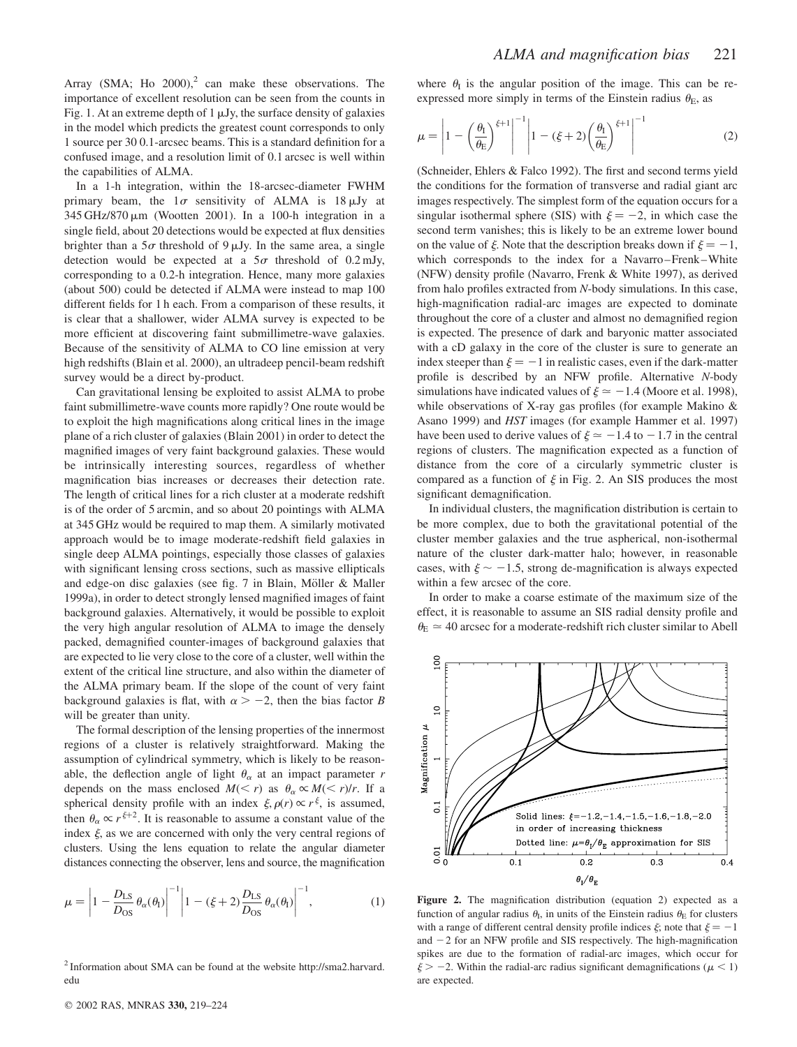Array (SMA; Ho  $2000$ ),<sup>2</sup> can make these observations. The importance of excellent resolution can be seen from the counts in Fig. 1. At an extreme depth of  $1 \mu Jy$ , the surface density of galaxies in the model which predicts the greatest count corresponds to only 1 source per 30 0.1-arcsec beams. This is a standard definition for a confused image, and a resolution limit of 0.1 arcsec is well within the capabilities of ALMA.

In a 1-h integration, within the 18-arcsec-diameter FWHM primary beam, the  $1\sigma$  sensitivity of ALMA is  $18 \mu Jy$  at  $345$  GHz/870  $\mu$ m (Wootten 2001). In a 100-h integration in a single field, about 20 detections would be expected at flux densities brighter than a  $5\sigma$  threshold of 9  $\mu$ Jy. In the same area, a single detection would be expected at a  $5\sigma$  threshold of 0.2 mJy, corresponding to a 0.2-h integration. Hence, many more galaxies (about 500) could be detected if ALMA were instead to map 100 different fields for 1 h each. From a comparison of these results, it is clear that a shallower, wider ALMA survey is expected to be more efficient at discovering faint submillimetre-wave galaxies. Because of the sensitivity of ALMA to CO line emission at very high redshifts (Blain et al. 2000), an ultradeep pencil-beam redshift survey would be a direct by-product.

Can gravitational lensing be exploited to assist ALMA to probe faint submillimetre-wave counts more rapidly? One route would be to exploit the high magnifications along critical lines in the image plane of a rich cluster of galaxies (Blain 2001) in order to detect the magnified images of very faint background galaxies. These would be intrinsically interesting sources, regardless of whether magnification bias increases or decreases their detection rate. The length of critical lines for a rich cluster at a moderate redshift is of the order of 5 arcmin, and so about 20 pointings with ALMA at 345 GHz would be required to map them. A similarly motivated approach would be to image moderate-redshift field galaxies in single deep ALMA pointings, especially those classes of galaxies with significant lensing cross sections, such as massive ellipticals and edge-on disc galaxies (see fig.  $7$  in Blain, Möller & Maller 1999a), in order to detect strongly lensed magnified images of faint background galaxies. Alternatively, it would be possible to exploit the very high angular resolution of ALMA to image the densely packed, demagnified counter-images of background galaxies that are expected to lie very close to the core of a cluster, well within the extent of the critical line structure, and also within the diameter of the ALMA primary beam. If the slope of the count of very faint background galaxies is flat, with  $\alpha > -2$ , then the bias factor B will be greater than unity.

The formal description of the lensing properties of the innermost regions of a cluster is relatively straightforward. Making the assumption of cylindrical symmetry, which is likely to be reasonable, the deflection angle of light  $\theta_{\alpha}$  at an impact parameter r depends on the mass enclosed  $M(< r)$  as  $\theta_{\alpha} \propto M(< r)/r$ . If a spherical density profile with an index  $\xi$ ,  $\rho(r) \propto r^{\xi}$ , is assumed, then  $\theta_{\alpha} \propto r^{\xi+2}$ . It is reasonable to assume a constant value of the index  $\xi$ , as we are concerned with only the very central regions of clusters. Using the lens equation to relate the angular diameter distances connecting the observer, lens and source, the magnification

$$
\mu = \left| 1 - \frac{D_{\rm LS}}{D_{\rm OS}} \theta_{\alpha}(\theta_{\rm I}) \right|^{-1} \left| 1 - (\xi + 2) \frac{D_{\rm LS}}{D_{\rm OS}} \theta_{\alpha}(\theta_{\rm I}) \right|^{-1},\tag{1}
$$

<sup>2</sup> Information about SMA can be found at the website http://sma2.harvard. edu

where  $\theta_1$  is the angular position of the image. This can be reexpressed more simply in terms of the Einstein radius  $\theta_{\rm E}$ , as

$$
\mu = \left| 1 - \left( \frac{\theta_{\rm I}}{\theta_{\rm E}} \right)^{\xi + 1} \right|^{-1} \left| 1 - (\xi + 2) \left( \frac{\theta_{\rm I}}{\theta_{\rm E}} \right)^{\xi + 1} \right|^{-1} \tag{2}
$$

(Schneider, Ehlers & Falco 1992). The first and second terms yield the conditions for the formation of transverse and radial giant arc images respectively. The simplest form of the equation occurs for a singular isothermal sphere (SIS) with  $\xi = -2$ , in which case the second term vanishes; this is likely to be an extreme lower bound on the value of  $\xi$ . Note that the description breaks down if  $\xi = -1$ , which corresponds to the index for a Navarro–Frenk–White (NFW) density profile (Navarro, Frenk & White 1997), as derived from halo profiles extracted from N-body simulations. In this case, high-magnification radial-arc images are expected to dominate throughout the core of a cluster and almost no demagnified region is expected. The presence of dark and baryonic matter associated with a cD galaxy in the core of the cluster is sure to generate an index steeper than  $\xi = -1$  in realistic cases, even if the dark-matter profile is described by an NFW profile. Alternative N-body simulations have indicated values of  $\xi \approx -1.4$  (Moore et al. 1998), while observations of X-ray gas profiles (for example Makino & Asano 1999) and HST images (for example Hammer et al. 1997) have been used to derive values of  $\xi \approx -1.4$  to  $-1.7$  in the central regions of clusters. The magnification expected as a function of distance from the core of a circularly symmetric cluster is compared as a function of  $\xi$  in Fig. 2. An SIS produces the most significant demagnification.

In individual clusters, the magnification distribution is certain to be more complex, due to both the gravitational potential of the cluster member galaxies and the true aspherical, non-isothermal nature of the cluster dark-matter halo; however, in reasonable cases, with  $\xi \sim -1.5$ , strong de-magnification is always expected within a few arcsec of the core.

In order to make a coarse estimate of the maximum size of the effect, it is reasonable to assume an SIS radial density profile and  $\theta_{\rm E} \simeq 40$  arcsec for a moderate-redshift rich cluster similar to Abell



Figure 2. The magnification distribution (equation 2) expected as a function of angular radius  $\theta_{\text{I}}$ , in units of the Einstein radius  $\theta_{\text{E}}$  for clusters with a range of different central density profile indices  $\xi$ ; note that  $\xi = -1$ and  $-2$  for an NFW profile and SIS respectively. The high-magnification spikes are due to the formation of radial-arc images, which occur for  $\xi > -2$ . Within the radial-arc radius significant demagnifications ( $\mu < 1$ ) are expected.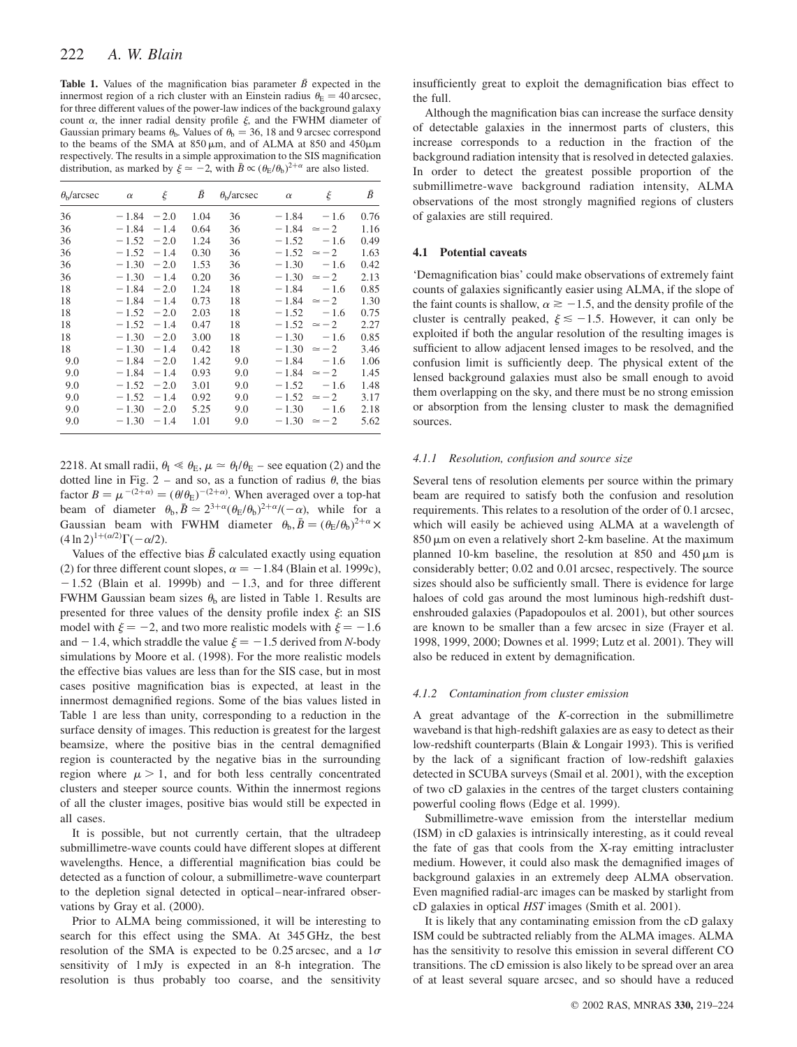**Table 1.** Values of the magnification bias parameter  $\bar{B}$  expected in the innermost region of a rich cluster with an Einstein radius  $\theta_{\rm E} = 40$  arcsec, for three different values of the power-law indices of the background galaxy count  $\alpha$ , the inner radial density profile  $\xi$ , and the FWHM diameter of Gaussian primary beams  $\theta_b$ . Values of  $\theta_b = 36$ , 18 and 9 arcsec correspond to the beams of the SMA at  $850 \mu m$ , and of ALMA at  $850$  and  $450 \mu m$ respectively. The results in a simple approximation to the SIS magnification distribution, as marked by  $\xi \approx -2$ , with  $\bar{B} \propto (\theta_{\rm E}/\theta_{\rm b})^{2+\alpha}$  are also listed.

| $\theta_{\rm h}/\text{arcsec}$ | $\alpha$ | ξ      | B    | $\theta_{\rm h}/arcsec$ | $\alpha$ | ξ           | Ā    |
|--------------------------------|----------|--------|------|-------------------------|----------|-------------|------|
| 36                             | $-1.84$  | $-2.0$ | 1.04 | 36                      | $-1.84$  | $-1.6$      | 0.76 |
| 36                             | $-1.84$  | $-1.4$ | 0.64 | 36                      | $-1.84$  | $\simeq -2$ | 1.16 |
| 36                             | $-1.52$  | $-2.0$ | 1.24 | 36                      | $-1.52$  | $-1.6$      | 0.49 |
| 36                             | $-1.52$  | $-1.4$ | 0.30 | 36                      | $-1.52$  | $\simeq -2$ | 1.63 |
| 36                             | $-1.30$  | $-2.0$ | 1.53 | 36                      | $-1.30$  | $-1.6$      | 0.42 |
| 36                             | $-1.30$  | $-1.4$ | 0.20 | 36                      | $-1.30$  | $\simeq -2$ | 2.13 |
| 18                             | $-1.84$  | $-2.0$ | 1.24 | 18                      | $-1.84$  | $-1.6$      | 0.85 |
| 18                             | $-1.84$  | $-1.4$ | 0.73 | 18                      | $-1.84$  | $\simeq -2$ | 1.30 |
| 18                             | $-1.52$  | $-2.0$ | 2.03 | 18                      | $-1.52$  | $-1.6$      | 0.75 |
| 18                             | $-1.52$  | $-1.4$ | 0.47 | 18                      | $-1.52$  | $\simeq -2$ | 2.27 |
| 18                             | $-1.30$  | $-2.0$ | 3.00 | 18                      | $-1.30$  | $-1.6$      | 0.85 |
| 18                             | $-1.30$  | $-1.4$ | 0.42 | 18                      | $-1.30$  | $\simeq -2$ | 3.46 |
| 9.0                            | $-1.84$  | $-2.0$ | 1.42 | 9.0                     | $-1.84$  | $-1.6$      | 1.06 |
| 9.0                            | $-1.84$  | $-1.4$ | 0.93 | 9.0                     | $-1.84$  | $\simeq -2$ | 1.45 |
| 9.0                            | $-1.52$  | $-2.0$ | 3.01 | 9.0                     | $-1.52$  | $-1.6$      | 1.48 |
| 9.0                            | $-1.52$  | $-1.4$ | 0.92 | 9.0                     | $-1.52$  | $\simeq -2$ | 3.17 |
| 9.0                            | $-1.30$  | $-2.0$ | 5.25 | 9.0                     | $-1.30$  | $-1.6$      | 2.18 |
| 9.0                            | $-1.30$  | $-1.4$ | 1.01 | 9.0                     | $-1.30$  | $\simeq -2$ | 5.62 |

2218. At small radii,  $\theta_{\rm I} \ll \theta_{\rm E}$ ,  $\mu \simeq \theta_{\rm I}/\theta_{\rm E}$  – see equation (2) and the dotted line in Fig. 2 – and so, as a function of radius  $\theta$ , the bias factor  $B = \mu^{-(2+\alpha)} = (\theta/\theta_{\rm E})^{-(2+\alpha)}$ . When averaged over a top-hat beam of diameter  $\theta_b$ ,  $\bar{B} \simeq 2^{3+\alpha} (\theta_E/\theta_b)^{2+\alpha}/(-\alpha)$ , while for a Gaussian beam with FWHM diameter  $\theta_b$ ,  $\bar{B} = (\theta_E/\theta_b)^{2+\alpha} \times$  $(4 \ln 2)^{1+(\alpha/2)} \Gamma(-\alpha/2).$ 

Values of the effective bias  $\bar{B}$  calculated exactly using equation (2) for three different count slopes,  $\alpha = -1.84$  (Blain et al. 1999c),  $-1.52$  (Blain et al. 1999b) and  $-1.3$ , and for three different FWHM Gaussian beam sizes  $\theta_b$  are listed in Table 1. Results are presented for three values of the density profile index  $\xi$ : an SIS model with  $\xi = -2$ , and two more realistic models with  $\xi = -1.6$ and  $-1.4$ , which straddle the value  $\xi = -1.5$  derived from N-body simulations by Moore et al. (1998). For the more realistic models the effective bias values are less than for the SIS case, but in most cases positive magnification bias is expected, at least in the innermost demagnified regions. Some of the bias values listed in Table 1 are less than unity, corresponding to a reduction in the surface density of images. This reduction is greatest for the largest beamsize, where the positive bias in the central demagnified region is counteracted by the negative bias in the surrounding region where  $\mu > 1$ , and for both less centrally concentrated clusters and steeper source counts. Within the innermost regions of all the cluster images, positive bias would still be expected in all cases.

It is possible, but not currently certain, that the ultradeep submillimetre-wave counts could have different slopes at different wavelengths. Hence, a differential magnification bias could be detected as a function of colour, a submillimetre-wave counterpart to the depletion signal detected in optical–near-infrared observations by Gray et al. (2000).

Prior to ALMA being commissioned, it will be interesting to search for this effect using the SMA. At 345 GHz, the best resolution of the SMA is expected to be 0.25 arcsec, and a  $1\sigma$ sensitivity of 1 mJy is expected in an 8-h integration. The resolution is thus probably too coarse, and the sensitivity

insufficiently great to exploit the demagnification bias effect to the full.

Although the magnification bias can increase the surface density of detectable galaxies in the innermost parts of clusters, this increase corresponds to a reduction in the fraction of the background radiation intensity that is resolved in detected galaxies. In order to detect the greatest possible proportion of the submillimetre-wave background radiation intensity, ALMA observations of the most strongly magnified regions of clusters of galaxies are still required.

## 4.1 Potential caveats

'Demagnification bias' could make observations of extremely faint counts of galaxies significantly easier using ALMA, if the slope of the faint counts is shallow,  $\alpha \ge -1.5$ , and the density profile of the cluster is centrally peaked,  $\xi \le -1.5$ . However, it can only be exploited if both the angular resolution of the resulting images is sufficient to allow adjacent lensed images to be resolved, and the confusion limit is sufficiently deep. The physical extent of the lensed background galaxies must also be small enough to avoid them overlapping on the sky, and there must be no strong emission or absorption from the lensing cluster to mask the demagnified sources.

#### 4.1.1 Resolution, confusion and source size

Several tens of resolution elements per source within the primary beam are required to satisfy both the confusion and resolution requirements. This relates to a resolution of the order of 0.1 arcsec, which will easily be achieved using ALMA at a wavelength of  $850 \mu m$  on even a relatively short 2-km baseline. At the maximum planned 10-km baseline, the resolution at 850 and  $450 \,\mu m$  is considerably better; 0.02 and 0.01 arcsec, respectively. The source sizes should also be sufficiently small. There is evidence for large haloes of cold gas around the most luminous high-redshift dustenshrouded galaxies (Papadopoulos et al. 2001), but other sources are known to be smaller than a few arcsec in size (Frayer et al. 1998, 1999, 2000; Downes et al. 1999; Lutz et al. 2001). They will also be reduced in extent by demagnification.

#### 4.1.2 Contamination from cluster emission

A great advantage of the K-correction in the submillimetre waveband is that high-redshift galaxies are as easy to detect as their low-redshift counterparts (Blain & Longair 1993). This is verified by the lack of a significant fraction of low-redshift galaxies detected in SCUBA surveys (Smail et al. 2001), with the exception of two cD galaxies in the centres of the target clusters containing powerful cooling flows (Edge et al. 1999).

Submillimetre-wave emission from the interstellar medium (ISM) in cD galaxies is intrinsically interesting, as it could reveal the fate of gas that cools from the X-ray emitting intracluster medium. However, it could also mask the demagnified images of background galaxies in an extremely deep ALMA observation. Even magnified radial-arc images can be masked by starlight from cD galaxies in optical HST images (Smith et al. 2001).

It is likely that any contaminating emission from the cD galaxy ISM could be subtracted reliably from the ALMA images. ALMA has the sensitivity to resolve this emission in several different CO transitions. The cD emission is also likely to be spread over an area of at least several square arcsec, and so should have a reduced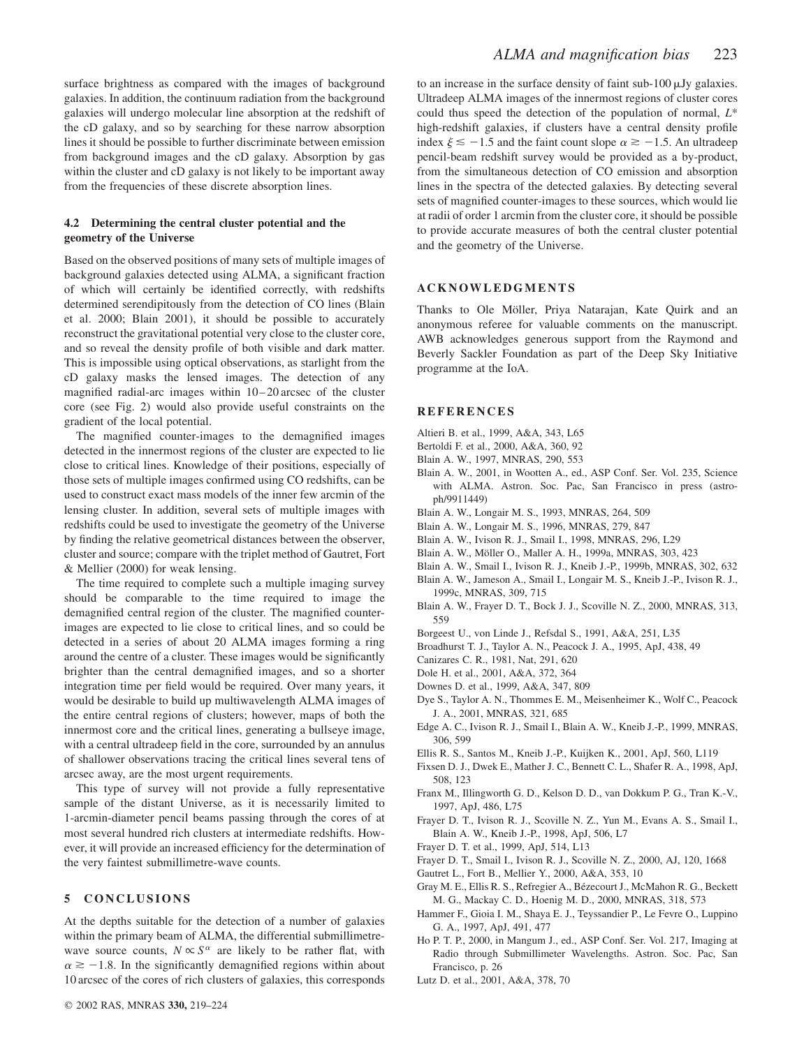surface brightness as compared with the images of background galaxies. In addition, the continuum radiation from the background galaxies will undergo molecular line absorption at the redshift of the cD galaxy, and so by searching for these narrow absorption lines it should be possible to further discriminate between emission from background images and the cD galaxy. Absorption by gas within the cluster and cD galaxy is not likely to be important away from the frequencies of these discrete absorption lines.

## 4.2 Determining the central cluster potential and the geometry of the Universe

Based on the observed positions of many sets of multiple images of background galaxies detected using ALMA, a significant fraction of which will certainly be identified correctly, with redshifts determined serendipitously from the detection of CO lines (Blain et al. 2000; Blain 2001), it should be possible to accurately reconstruct the gravitational potential very close to the cluster core, and so reveal the density profile of both visible and dark matter. This is impossible using optical observations, as starlight from the cD galaxy masks the lensed images. The detection of any magnified radial-arc images within 10–20 arcsec of the cluster core (see Fig. 2) would also provide useful constraints on the gradient of the local potential.

The magnified counter-images to the demagnified images detected in the innermost regions of the cluster are expected to lie close to critical lines. Knowledge of their positions, especially of those sets of multiple images confirmed using CO redshifts, can be used to construct exact mass models of the inner few arcmin of the lensing cluster. In addition, several sets of multiple images with redshifts could be used to investigate the geometry of the Universe by finding the relative geometrical distances between the observer, cluster and source; compare with the triplet method of Gautret, Fort & Mellier (2000) for weak lensing.

The time required to complete such a multiple imaging survey should be comparable to the time required to image the demagnified central region of the cluster. The magnified counterimages are expected to lie close to critical lines, and so could be detected in a series of about 20 ALMA images forming a ring around the centre of a cluster. These images would be significantly brighter than the central demagnified images, and so a shorter integration time per field would be required. Over many years, it would be desirable to build up multiwavelength ALMA images of the entire central regions of clusters; however, maps of both the innermost core and the critical lines, generating a bullseye image, with a central ultradeep field in the core, surrounded by an annulus of shallower observations tracing the critical lines several tens of arcsec away, are the most urgent requirements.

This type of survey will not provide a fully representative sample of the distant Universe, as it is necessarily limited to 1-arcmin-diameter pencil beams passing through the cores of at most several hundred rich clusters at intermediate redshifts. However, it will provide an increased efficiency for the determination of the very faintest submillimetre-wave counts.

#### 5 CONCLUSIONS

At the depths suitable for the detection of a number of galaxies within the primary beam of ALMA, the differential submillimetrewave source counts,  $N \propto S^{\alpha}$  are likely to be rather flat, with  $\alpha \ge -1.8$ . In the significantly demagnified regions within about 10 arcsec of the cores of rich clusters of galaxies, this corresponds

to an increase in the surface density of faint sub-100  $\mu$ Jy galaxies. Ultradeep ALMA images of the innermost regions of cluster cores could thus speed the detection of the population of normal,  $L^*$ high-redshift galaxies, if clusters have a central density profile index  $\xi \le -1.5$  and the faint count slope  $\alpha \ge -1.5$ . An ultradeep pencil-beam redshift survey would be provided as a by-product, from the simultaneous detection of CO emission and absorption lines in the spectra of the detected galaxies. By detecting several sets of magnified counter-images to these sources, which would lie at radii of order 1 arcmin from the cluster core, it should be possible to provide accurate measures of both the central cluster potential and the geometry of the Universe.

#### ACKNOWLEDGMENTS

Thanks to Ole Möller, Priya Natarajan, Kate Quirk and an anonymous referee for valuable comments on the manuscript. AWB acknowledges generous support from the Raymond and Beverly Sackler Foundation as part of the Deep Sky Initiative programme at the IoA.

#### REFERENCES

- Altieri B. et al., 1999, A&A, 343, L65
- Bertoldi F. et al., 2000, A&A, 360, 92
- Blain A. W., 1997, MNRAS, 290, 553
- Blain A. W., 2001, in Wootten A., ed., ASP Conf. Ser. Vol. 235, Science with ALMA. Astron. Soc. Pac, San Francisco in press (astroph/9911449)
- Blain A. W., Longair M. S., 1993, MNRAS, 264, 509
- Blain A. W., Longair M. S., 1996, MNRAS, 279, 847
- Blain A. W., Ivison R. J., Smail I., 1998, MNRAS, 296, L29
- Blain A. W., Möller O., Maller A. H., 1999a, MNRAS, 303, 423
- Blain A. W., Smail I., Ivison R. J., Kneib J.-P., 1999b, MNRAS, 302, 632
- Blain A. W., Jameson A., Smail I., Longair M. S., Kneib J.-P., Ivison R. J., 1999c, MNRAS, 309, 715
- Blain A. W., Frayer D. T., Bock J. J., Scoville N. Z., 2000, MNRAS, 313, 559
- Borgeest U., von Linde J., Refsdal S., 1991, A&A, 251, L35
- Broadhurst T. J., Taylor A. N., Peacock J. A., 1995, ApJ, 438, 49
- Canizares C. R., 1981, Nat, 291, 620
- Dole H. et al., 2001, A&A, 372, 364
- Downes D. et al., 1999, A&A, 347, 809
- Dye S., Taylor A. N., Thommes E. M., Meisenheimer K., Wolf C., Peacock J. A., 2001, MNRAS, 321, 685
- Edge A. C., Ivison R. J., Smail I., Blain A. W., Kneib J.-P., 1999, MNRAS, 306, 599
- Ellis R. S., Santos M., Kneib J.-P., Kuijken K., 2001, ApJ, 560, L119
- Fixsen D. J., Dwek E., Mather J. C., Bennett C. L., Shafer R. A., 1998, ApJ, 508, 123
- Franx M., Illingworth G. D., Kelson D. D., van Dokkum P. G., Tran K.-V., 1997, ApJ, 486, L75
- Frayer D. T., Ivison R. J., Scoville N. Z., Yun M., Evans A. S., Smail I., Blain A. W., Kneib J.-P., 1998, ApJ, 506, L7
- Frayer D. T. et al., 1999, ApJ, 514, L13
- Frayer D. T., Smail I., Ivison R. J., Scoville N. Z., 2000, AJ, 120, 1668
- Gautret L., Fort B., Mellier Y., 2000, A&A, 353, 10
- Gray M. E., Ellis R. S., Refregier A., Bézecourt J., McMahon R. G., Beckett M. G., Mackay C. D., Hoenig M. D., 2000, MNRAS, 318, 573
- Hammer F., Gioia I. M., Shaya E. J., Teyssandier P., Le Fevre O., Luppino G. A., 1997, ApJ, 491, 477
- Ho P. T. P., 2000, in Mangum J., ed., ASP Conf. Ser. Vol. 217, Imaging at Radio through Submillimeter Wavelengths. Astron. Soc. Pac, San Francisco, p. 26
- Lutz D. et al., 2001, A&A, 378, 70